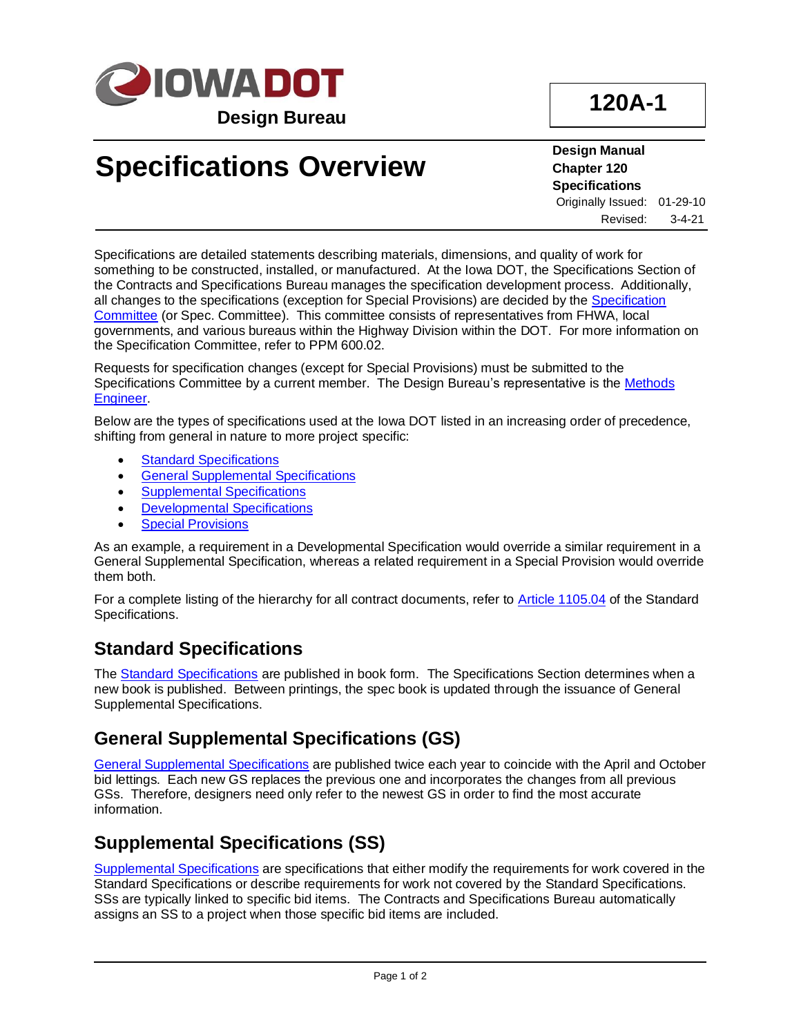

# **120A-1**

# **Specifications Overview**

**Design Manual Chapter 120 Specifications** Originally Issued: 01-29-10 Revised: 3-4-21

Specifications are detailed statements describing materials, dimensions, and quality of work for something to be constructed, installed, or manufactured. At the Iowa DOT, the Specifications Section of the Contracts and Specifications Bureau manages the specification development process. Additionally, all changes to the specifications (exception for Special Provisions) are decided by the [Specification](../../specifications/)  [Committee](../../specifications/) (or Spec. Committee). This committee consists of representatives from FHWA, local governments, and various bureaus within the Highway Division within the DOT. For more information on the Specification Committee, refer to PPM 600.02.

Requests for specification changes (except for Special Provisions) must be submitted to the Specifications Committee by a current member. The Design Bureau's representative is the [Methods](01b-02/MethodsEngineer.pdf)  [Engineer.](01b-02/MethodsEngineer.pdf)

Below are the types of specifications used at the Iowa DOT listed in an increasing order of precedence, shifting from general in nature to more project specific:

- **[Standard Specifications](#page-0-0)**
- [General Supplemental Specifications](#page-0-1)
- [Supplemental Specifications](#page-0-2)
- **[Developmental Specifications](#page-1-0)**
- **[Special Provisions](#page-1-1)**

As an example, a requirement in a Developmental Specification would override a similar requirement in a General Supplemental Specification, whereas a related requirement in a Special Provision would override them both.

For a complete listing of the hierarchy for all contract documents, refer to [Article 1105.04](../../erl/current/GS/content/1105.htm) of the Standard Specifications.

#### <span id="page-0-0"></span>**Standard Specifications**

The [Standard Specifications](../../specifications/) are published in book form. The Specifications Section determines when a new book is published. Between printings, the spec book is updated through the issuance of General Supplemental Specifications.

#### <span id="page-0-1"></span>**General Supplemental Specifications (GS)**

[General Supplemental Specifications](../../specifications/) are published twice each year to coincide with the April and October bid lettings. Each new GS replaces the previous one and incorporates the changes from all previous GSs. Therefore, designers need only refer to the newest GS in order to find the most accurate information.

#### <span id="page-0-2"></span>**Supplemental Specifications (SS)**

[Supplemental Specifications](../../specifications/) are specifications that either modify the requirements for work covered in the Standard Specifications or describe requirements for work not covered by the Standard Specifications. SSs are typically linked to specific bid items. The Contracts and Specifications Bureau automatically assigns an SS to a project when those specific bid items are included.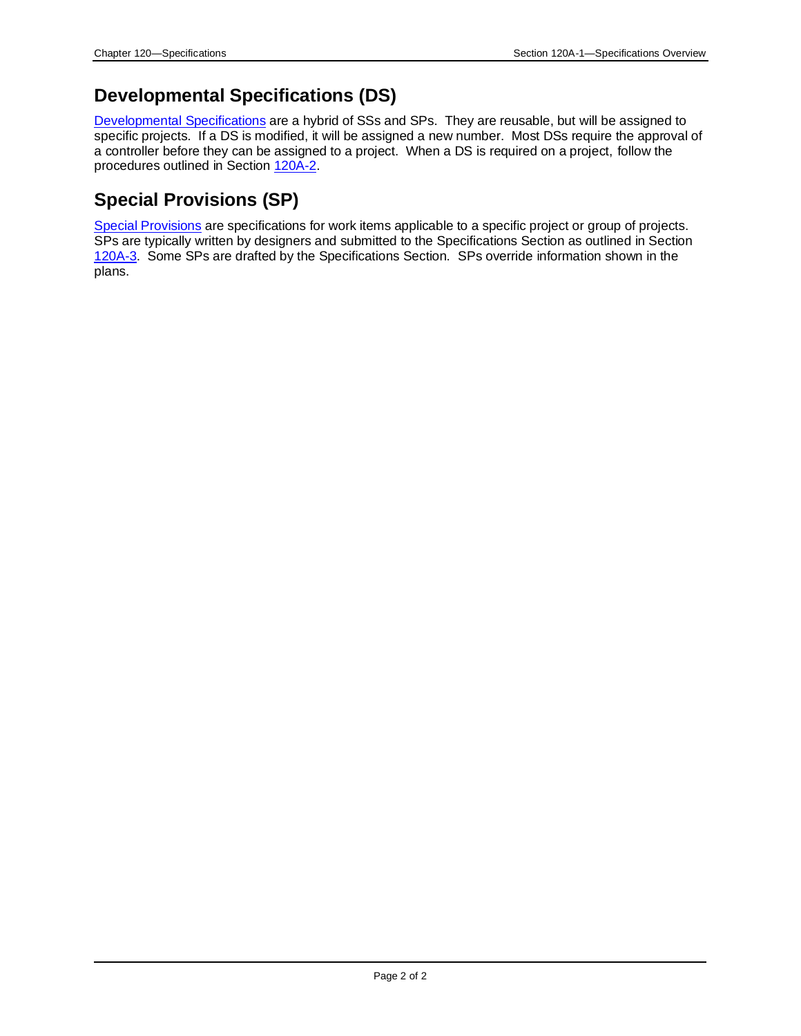### <span id="page-1-0"></span>**Developmental Specifications (DS)**

[Developmental Specifications](../../specifications/) are a hybrid of SSs and SPs. They are reusable, but will be assigned to specific projects. If a DS is modified, it will be assigned a new number. Most DSs require the approval of a controller before they can be assigned to a project. When a DS is required on a project, follow the procedures outlined in Section [120A-2.](120A-02.pdf)

### <span id="page-1-1"></span>**Special Provisions (SP)**

[Special Provisions](../../specifications/) are specifications for work items applicable to a specific project or group of projects. SPs are typically written by designers and submitted to the Specifications Section as outlined in Section [120A-3.](120a-03.pdf) Some SPs are drafted by the Specifications Section. SPs override information shown in the plans.